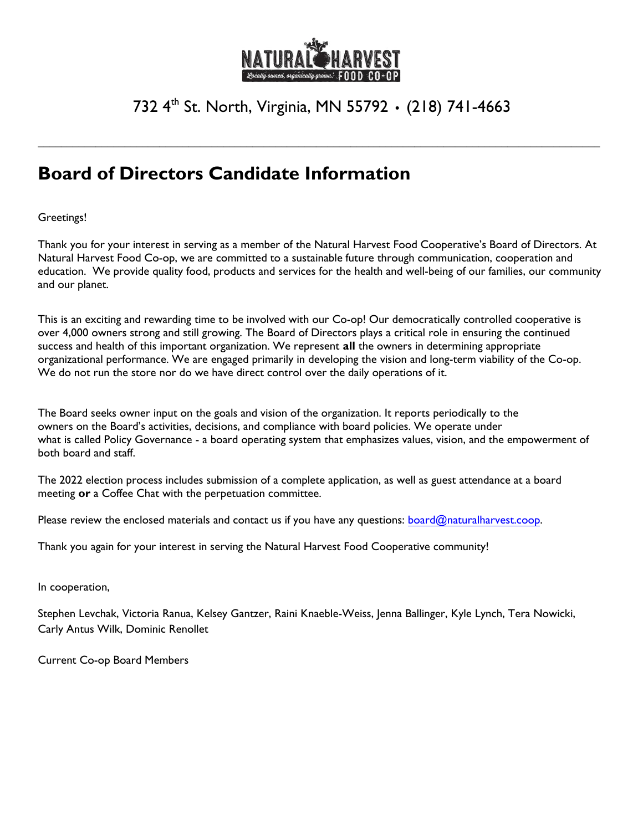

# 732 4 th St. North, Virginia, MN 55792 **•** (218) 741-4663

**\_\_\_\_\_\_\_\_\_\_\_\_\_\_\_\_\_\_\_\_\_\_\_\_\_\_\_\_\_\_\_\_\_\_\_\_\_\_\_\_\_\_\_\_\_\_\_\_\_\_\_\_\_\_\_\_\_\_\_\_\_\_\_\_\_\_\_\_\_\_\_\_\_\_\_\_\_\_\_\_\_\_\_\_\_\_\_\_\_\_\_\_\_\_\_\_\_**

# **Board of Directors Candidate Information**

### Greetings!

Thank you for your interest in serving as a member of the Natural Harvest Food Cooperative's Board of Directors. At Natural Harvest Food Co-op, we are committed to a sustainable future through communication, cooperation and education. We provide quality food, products and services for the health and well-being of our families, our community and our planet.

This is an exciting and rewarding time to be involved with our Co-op! Our democratically controlled cooperative is over 4,000 owners strong and still growing. The Board of Directors plays a critical role in ensuring the continued success and health of this important organization. We represent **all** the owners in determining appropriate organizational performance. We are engaged primarily in developing the vision and long-term viability of the Co-op. We do not run the store nor do we have direct control over the daily operations of it.

The Board seeks owner input on the goals and vision of the organization. It reports periodically to the owners on the Board's activities, decisions, and compliance with board policies. We operate under what is called Policy Governance - a board operating system that emphasizes values, vision, and the empowerment of both board and staff.

The 2022 election process includes submission of a complete application, as well as guest attendance at a board meeting **or** a Coffee Chat with the perpetuation committee.

Please review the enclosed materials and contact us if you have any questions: [board@naturalharvest.coop.](mailto:board@naturalharvest.coop)

Thank you again for your interest in serving the Natural Harvest Food Cooperative community!

In cooperation,

Stephen Levchak, Victoria Ranua, Kelsey Gantzer, Raini Knaeble-Weiss, Jenna Ballinger, Kyle Lynch, Tera Nowicki, Carly Antus Wilk, Dominic Renollet

Current Co-op Board Members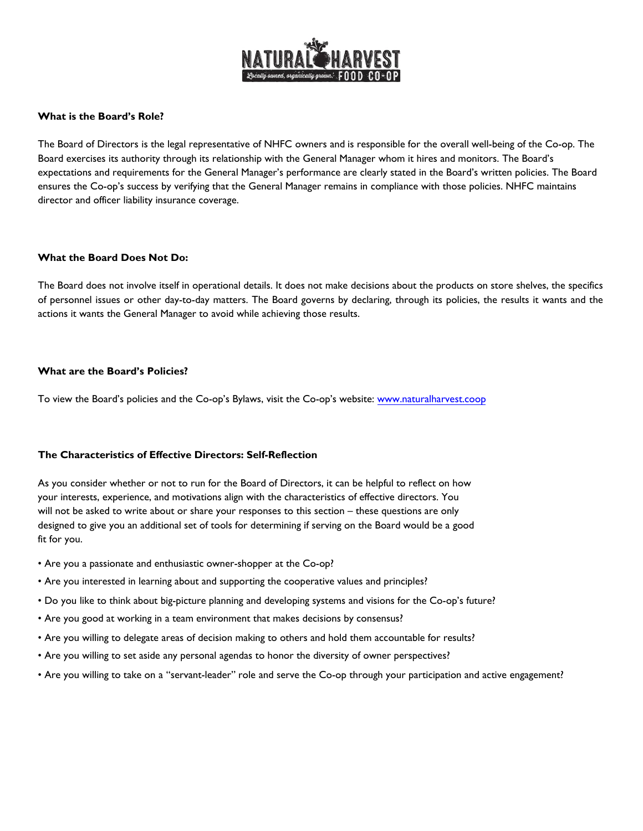

#### **What is the Board's Role?**

The Board of Directors is the legal representative of NHFC owners and is responsible for the overall well-being of the Co-op. The Board exercises its authority through its relationship with the General Manager whom it hires and monitors. The Board's expectations and requirements for the General Manager's performance are clearly stated in the Board's written policies. The Board ensures the Co-op's success by verifying that the General Manager remains in compliance with those policies. NHFC maintains director and officer liability insurance coverage.

#### **What the Board Does Not Do:**

The Board does not involve itself in operational details. It does not make decisions about the products on store shelves, the specifics of personnel issues or other day-to-day matters. The Board governs by declaring, through its policies, the results it wants and the actions it wants the General Manager to avoid while achieving those results.

#### **What are the Board's Policies?**

To view the Board's policies and the Co-op's Bylaws, visit the Co-op's website: [www.naturalharvest.coop](http://www.naturalharvest.coop)

#### **The Characteristics of Effective Directors: Self-Reflection**

As you consider whether or not to run for the Board of Directors, it can be helpful to reflect on how your interests, experience, and motivations align with the characteristics of effective directors. You will not be asked to write about or share your responses to this section – these questions are only designed to give you an additional set of tools for determining if serving on the Board would be a good fit for you.

- Are you a passionate and enthusiastic owner-shopper at the Co-op?
- Are you interested in learning about and supporting the cooperative values and principles?
- Do you like to think about big-picture planning and developing systems and visions for the Co-op's future?
- Are you good at working in a team environment that makes decisions by consensus?
- Are you willing to delegate areas of decision making to others and hold them accountable for results?
- Are you willing to set aside any personal agendas to honor the diversity of owner perspectives?
- Are you willing to take on a "servant-leader" role and serve the Co-op through your participation and active engagement?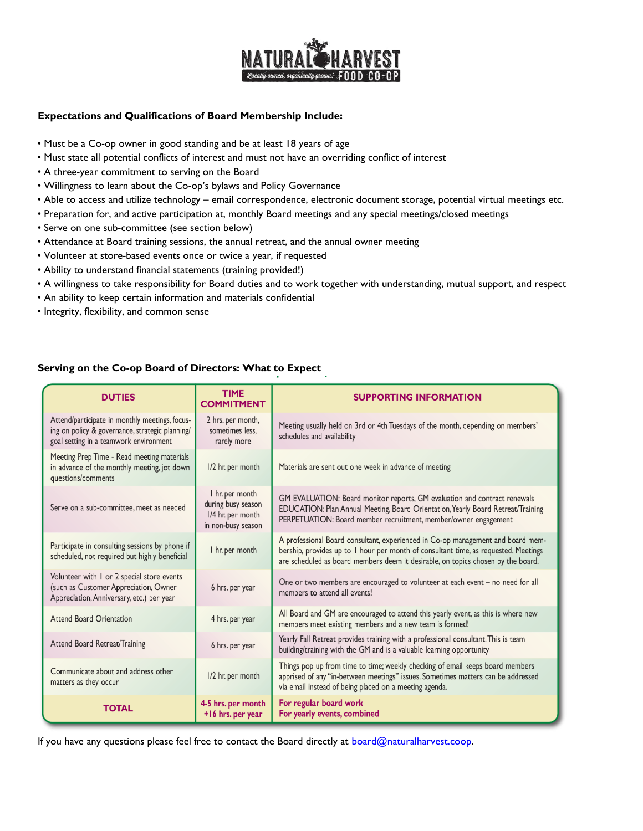

#### **Expectations and Qualifications of Board Membership Include:**

- Must be a Co-op owner in good standing and be at least 18 years of age
- Must state all potential conflicts of interest and must not have an overriding conflict of interest
- A three-year commitment to serving on the Board
- Willingness to learn about the Co-op's bylaws and Policy Governance
- Able to access and utilize technology email correspondence, electronic document storage, potential virtual meetings etc.
- Preparation for, and active participation at, monthly Board meetings and any special meetings/closed meetings
- Serve on one sub-committee (see section below)
- Attendance at Board training sessions, the annual retreat, and the annual owner meeting
- Volunteer at store-based events once or twice a year, if requested
- Ability to understand financial statements (training provided!)
- A willingness to take responsibility for Board duties and to work together with understanding, mutual support, and respect
- An ability to keep certain information and materials confidential
- Integrity, flexibility, and common sense

#### **Serving on the Co-op Board of Directors: What to Expect**

| <b>DUTIES</b>                                                                                                                               | <b>TIME</b><br><b>COMMITMENT</b>                                                 | <b>SUPPORTING INFORMATION</b>                                                                                                                                                                                                                              |
|---------------------------------------------------------------------------------------------------------------------------------------------|----------------------------------------------------------------------------------|------------------------------------------------------------------------------------------------------------------------------------------------------------------------------------------------------------------------------------------------------------|
| Attend/participate in monthly meetings, focus-<br>ing on policy & governance, strategic planning/<br>goal setting in a teamwork environment | 2 hrs. per month,<br>sometimes less.<br>rarely more                              | Meeting usually held on 3rd or 4th Tuesdays of the month, depending on members'<br>schedules and availability                                                                                                                                              |
| Meeting Prep Time - Read meeting materials<br>in advance of the monthly meeting, jot down<br>questions/comments                             | 1/2 hr. per month                                                                | Materials are sent out one week in advance of meeting                                                                                                                                                                                                      |
| Serve on a sub-committee, meet as needed                                                                                                    | I hr. per month<br>during busy season<br>1/4 hr. per month<br>in non-busy season | GM EVALUATION: Board monitor reports, GM evaluation and contract renewals<br>EDUCATION: Plan Annual Meeting, Board Orientation, Yearly Board Retreat/Training<br>PERPETUATION: Board member recruitment, member/owner engagement                           |
| Participate in consulting sessions by phone if<br>scheduled, not required but highly beneficial                                             | I hr. per month                                                                  | A professional Board consultant, experienced in Co-op management and board mem-<br>bership, provides up to 1 hour per month of consultant time, as requested. Meetings<br>are scheduled as board members deem it desirable, on topics chosen by the board. |
| Volunteer with I or 2 special store events<br>(such as Customer Appreciation, Owner<br>Appreciation, Anniversary, etc.) per year            | 6 hrs. per year                                                                  | One or two members are encouraged to volunteer at each event - no need for all<br>members to attend all events!                                                                                                                                            |
| <b>Attend Board Orientation</b>                                                                                                             | 4 hrs. per year                                                                  | All Board and GM are encouraged to attend this yearly event, as this is where new<br>members meet existing members and a new team is formed!                                                                                                               |
| Attend Board Retreat/Training                                                                                                               | 6 hrs. per year                                                                  | Yearly Fall Retreat provides training with a professional consultant. This is team<br>building/training with the GM and is a valuable learning opportunity                                                                                                 |
| Communicate about and address other<br>matters as they occur                                                                                | I/2 hr. per month                                                                | Things pop up from time to time; weekly checking of email keeps board members<br>apprised of any "in-between meetings" issues. Sometimes matters can be addressed<br>via email instead of being placed on a meeting agenda.                                |
| <b>TOTAL</b>                                                                                                                                | 4-5 hrs. per month<br>+16 hrs. per year                                          | For regular board work<br>For yearly events, combined                                                                                                                                                                                                      |

If you have any questions please feel free to contact the Board directly at **board@naturalharvest.coop.**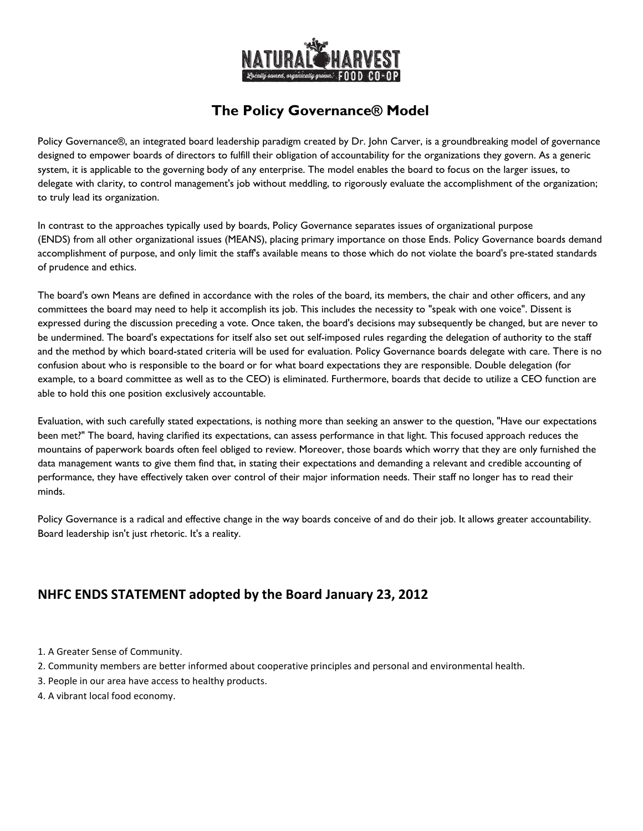

## **The Policy Governance® Model**

Policy Governance®, an integrated board leadership paradigm created by Dr. John Carver, is a groundbreaking model of governance designed to empower boards of directors to fulfill their obligation of accountability for the organizations they govern. As a generic system, it is applicable to the governing body of any enterprise. The model enables the board to focus on the larger issues, to delegate with clarity, to control management's job without meddling, to rigorously evaluate the accomplishment of the organization; to truly lead its organization.

In contrast to the approaches typically used by boards, Policy Governance separates issues of organizational purpose (ENDS) from all other organizational issues (MEANS), placing primary importance on those Ends. Policy Governance boards demand accomplishment of purpose, and only limit the staff's available means to those which do not violate the board's pre-stated standards of prudence and ethics.

The board's own Means are defined in accordance with the roles of the board, its members, the chair and other officers, and any committees the board may need to help it accomplish its job. This includes the necessity to "speak with one voice". Dissent is expressed during the discussion preceding a vote. Once taken, the board's decisions may subsequently be changed, but are never to be undermined. The board's expectations for itself also set out self-imposed rules regarding the delegation of authority to the staff and the method by which board-stated criteria will be used for evaluation. Policy Governance boards delegate with care. There is no confusion about who is responsible to the board or for what board expectations they are responsible. Double delegation (for example, to a board committee as well as to the CEO) is eliminated. Furthermore, boards that decide to utilize a CEO function are able to hold this one position exclusively accountable.

Evaluation, with such carefully stated expectations, is nothing more than seeking an answer to the question, "Have our expectations been met?" The board, having clarified its expectations, can assess performance in that light. This focused approach reduces the mountains of paperwork boards often feel obliged to review. Moreover, those boards which worry that they are only furnished the data management wants to give them find that, in stating their expectations and demanding a relevant and credible accounting of performance, they have effectively taken over control of their major information needs. Their staff no longer has to read their minds.

Policy Governance is a radical and effective change in the way boards conceive of and do their job. It allows greater accountability. Board leadership isn't just rhetoric. It's a reality.

### **NHFC ENDS STATEMENT adopted by the Board January 23, 2012**

- 1. A Greater Sense of Community.
- 2. Community members are better informed about cooperative principles and personal and environmental health.
- 3. People in our area have access to healthy products.
- 4. A vibrant local food economy.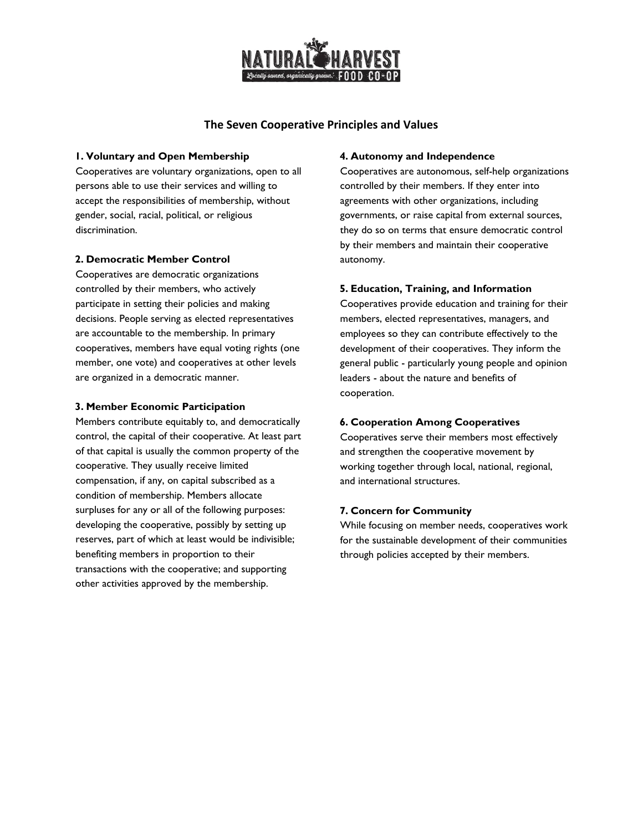

#### **The Seven Cooperative Principles and Values**

#### **1. Voluntary and Open Membership**

Cooperatives are voluntary organizations, open to all persons able to use their services and willing to accept the responsibilities of membership, without gender, social, racial, political, or religious discrimination.

#### **2. Democratic Member Control**

Cooperatives are democratic organizations controlled by their members, who actively participate in setting their policies and making decisions. People serving as elected representatives are accountable to the membership. In primary cooperatives, members have equal voting rights (one member, one vote) and cooperatives at other levels are organized in a democratic manner.

#### **3. Member Economic Participation**

Members contribute equitably to, and democratically control, the capital of their cooperative. At least part of that capital is usually the common property of the cooperative. They usually receive limited compensation, if any, on capital subscribed as a condition of membership. Members allocate surpluses for any or all of the following purposes: developing the cooperative, possibly by setting up reserves, part of which at least would be indivisible; benefiting members in proportion to their transactions with the cooperative; and supporting other activities approved by the membership.

#### **4. Autonomy and Independence**

Cooperatives are autonomous, self-help organizations controlled by their members. If they enter into agreements with other organizations, including governments, or raise capital from external sources, they do so on terms that ensure democratic control by their members and maintain their cooperative autonomy.

#### **5. Education, Training, and Information**

Cooperatives provide education and training for their members, elected representatives, managers, and employees so they can contribute effectively to the development of their cooperatives. They inform the general public - particularly young people and opinion leaders - about the nature and benefits of cooperation.

#### **6. Cooperation Among Cooperatives**

Cooperatives serve their members most effectively and strengthen the cooperative movement by working together through local, national, regional, and international structures.

#### **7. Concern for Community**

While focusing on member needs, cooperatives work for the sustainable development of their communities through policies accepted by their members.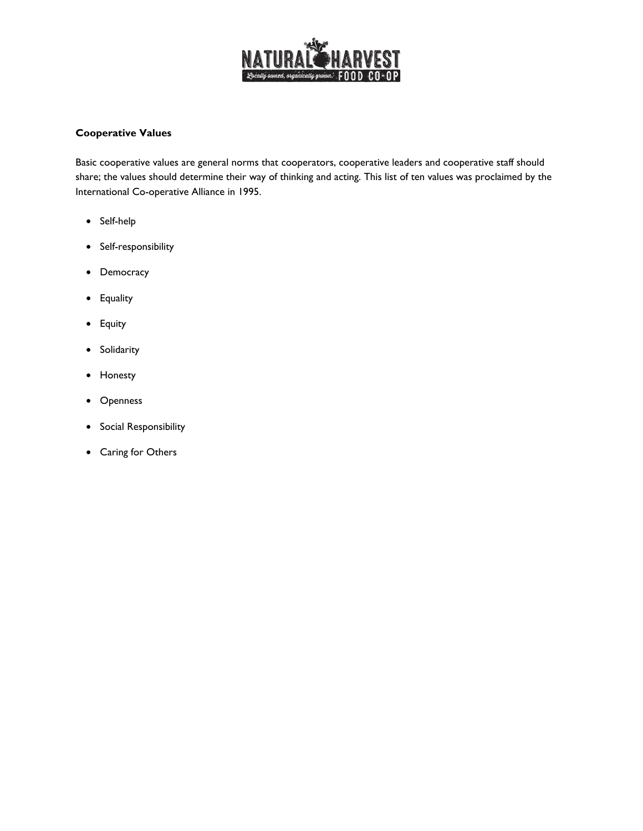

#### **Cooperative Values**

Basic cooperative values are general norms that cooperators, cooperative leaders and cooperative staff should share; the values should determine their way of thinking and acting. This list of ten values was proclaimed by the International Co-operative Alliance in 1995.

- Self-help
- Self-responsibility
- Democracy
- Equality
- Equity
- Solidarity
- Honesty
- Openness
- Social Responsibility
- Caring for Others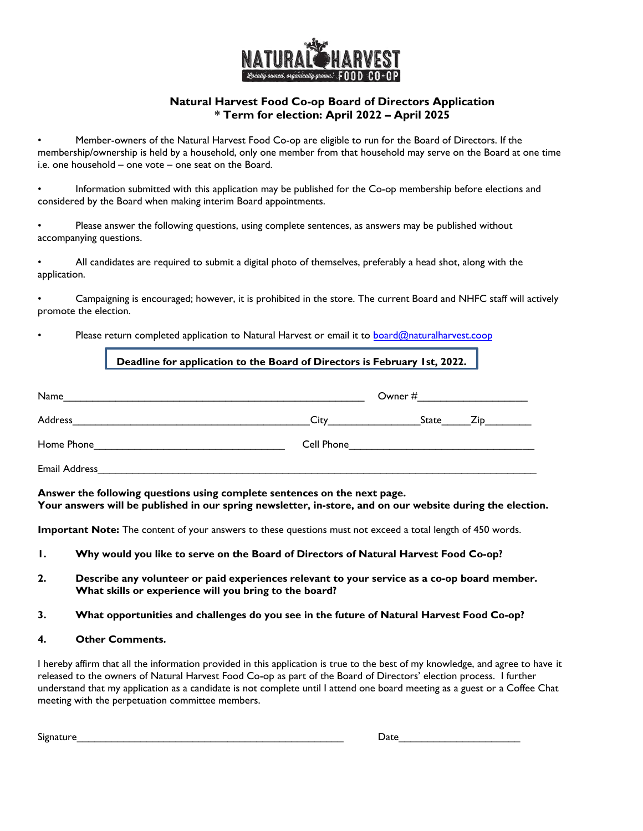

#### **Natural Harvest Food Co-op Board of Directors Application \* Term for election: April 2022 – April 2025**

• Member-owners of the Natural Harvest Food Co-op are eligible to run for the Board of Directors. If the membership/ownership is held by a household, only one member from that household may serve on the Board at one time i.e. one household – one vote – one seat on the Board.

• Information submitted with this application may be published for the Co-op membership before elections and considered by the Board when making interim Board appointments.

• Please answer the following questions, using complete sentences, as answers may be published without accompanying questions.

• All candidates are required to submit a digital photo of themselves, preferably a head shot, along with the application.

• Campaigning is encouraged; however, it is prohibited in the store. The current Board and NHFC staff will actively promote the election.

#### Please return completed application to Natural Harvest or email it to [board@naturalharvest.coop](mailto:board@naturalharvest.coop)

#### **Deadline for application to the Board of Directors is February 1st, 2022.**

| Name                 | Owner #    |       |      |
|----------------------|------------|-------|------|
| Address              | City       | State | Zip. |
| Home Phone           | Cell Phone |       |      |
| <b>Email Address</b> |            |       |      |

**Answer the following questions using complete sentences on the next page. Your answers will be published in our spring newsletter, in-store, and on our website during the election.** 

**Important Note:** The content of your answers to these questions must not exceed a total length of 450 words.

- **1. Why would you like to serve on the Board of Directors of Natural Harvest Food Co-op?**
- **2. Describe any volunteer or paid experiences relevant to your service as a co-op board member. What skills or experience will you bring to the board?**
- **3. What opportunities and challenges do you see in the future of Natural Harvest Food Co-op?**
- **4. Other Comments.**

I hereby affirm that all the information provided in this application is true to the best of my knowledge, and agree to have it released to the owners of Natural Harvest Food Co-op as part of the Board of Directors' election process. I further understand that my application as a candidate is not complete until I attend one board meeting as a guest or a Coffee Chat meeting with the perpetuation committee members.

| <b></b><br>Signature | Jate |
|----------------------|------|
|                      |      |